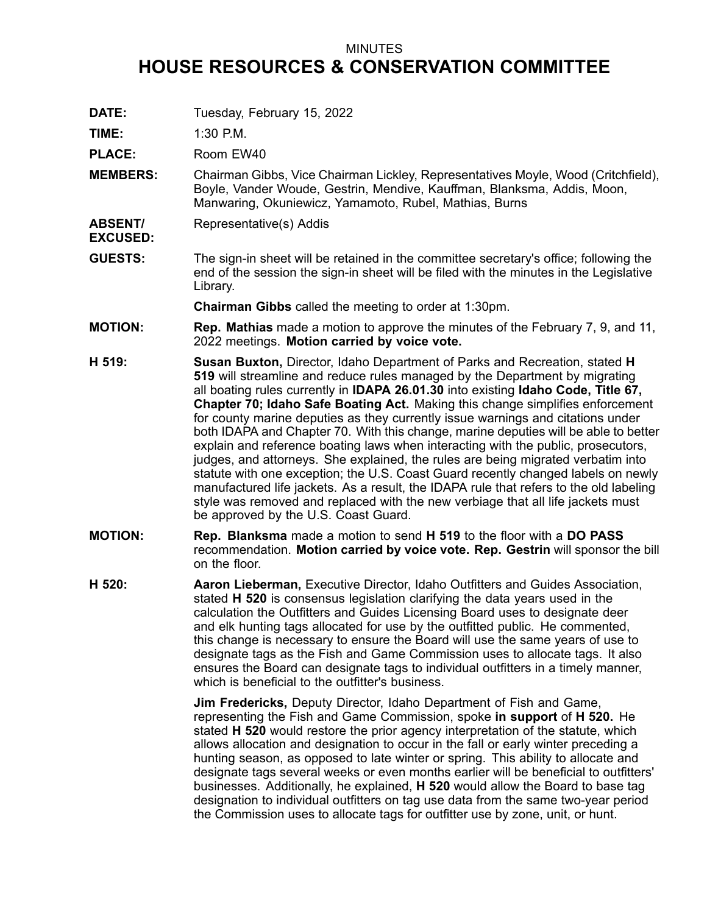## MINUTES **HOUSE RESOURCES & CONSERVATION COMMITTEE**

**DATE:** Tuesday, February 15, 2022

**TIME:** 1:30 P.M.

**EXCUSED:**

PLACE: Room EW40

- **MEMBERS:** Chairman Gibbs, Vice Chairman Lickley, Representatives Moyle, Wood (Critchfield), Boyle, Vander Woude, Gestrin, Mendive, Kauffman, Blanksma, Addis, Moon, Manwaring, Okuniewicz, Yamamoto, Rubel, Mathias, Burns
- **ABSENT/** Representative(s) Addis
- **GUESTS:** The sign-in sheet will be retained in the committee secretary's office; following the end of the session the sign-in sheet will be filed with the minutes in the Legislative Library.

**Chairman Gibbs** called the meeting to order at 1:30pm.

- **MOTION: Rep. Mathias** made <sup>a</sup> motion to approve the minutes of the February 7, 9, and 11, 2022 meetings. **Motion carried by voice vote.**
- **H 519: Susan Buxton,** Director, Idaho Department of Parks and Recreation, stated **H 519** will streamline and reduce rules managed by the Department by migrating all boating rules currently in **IDAPA 26.01.30** into existing **Idaho Code, Title 67, Chapter 70; Idaho Safe Boating Act.** Making this change simplifies enforcement for county marine deputies as they currently issue warnings and citations under both IDAPA and Chapter 70. With this change, marine deputies will be able to better explain and reference boating laws when interacting with the public, prosecutors, judges, and attorneys. She explained, the rules are being migrated verbatim into statute with one exception; the U.S. Coast Guard recently changed labels on newly manufactured life jackets. As <sup>a</sup> result, the IDAPA rule that refers to the old labeling style was removed and replaced with the new verbiage that all life jackets must be approved by the U.S. Coast Guard.
- **MOTION: Rep. Blanksma** made <sup>a</sup> motion to send **H 519** to the floor with <sup>a</sup> **DO PASS** recommendation. **Motion carried by voice vote. Rep. Gestrin** will sponsor the bill on the floor.
- **H 520: Aaron Lieberman,** Executive Director, Idaho Outfitters and Guides Association, stated **H 520** is consensus legislation clarifying the data years used in the calculation the Outfitters and Guides Licensing Board uses to designate deer and elk hunting tags allocated for use by the outfitted public. He commented, this change is necessary to ensure the Board will use the same years of use to designate tags as the Fish and Game Commission uses to allocate tags. It also ensures the Board can designate tags to individual outfitters in <sup>a</sup> timely manner, which is beneficial to the outfitter's business.

**Jim Fredericks,** Deputy Director, Idaho Department of Fish and Game, representing the Fish and Game Commission, spoke **in support** of **H 520.** He stated **H 520** would restore the prior agency interpretation of the statute, which allows allocation and designation to occur in the fall or early winter preceding <sup>a</sup> hunting season, as opposed to late winter or spring. This ability to allocate and designate tags several weeks or even months earlier will be beneficial to outfitters' businesses. Additionally, he explained, **H 520** would allow the Board to base tag designation to individual outfitters on tag use data from the same two-year period the Commission uses to allocate tags for outfitter use by zone, unit, or hunt.